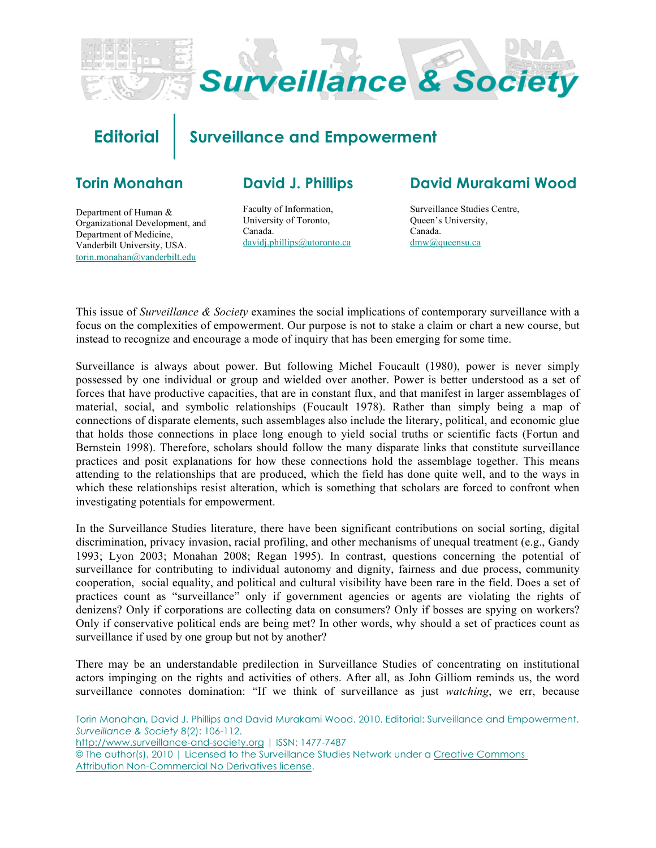

# **Editorial Surveillance and Empowerment**

# **Torin Monahan**

### **David J. Phillips**

Department of Human & Organizational Development, and Department of Medicine, Vanderbilt University, USA. [torin.monahan@vanderbilt.edu](mailto:torin.monahan@vanderbilt.edu)

Faculty of Information, University of Toronto, Canada. [davidj.phillips@utoronto.ca](mailto:davidj.phillips@utoronto.ca)

# **David Murakami Wood**

Surveillance Studies Centre, Queen's University, Canada. [dmw@queensu.ca](mailto:dmw@queensu.ca)

This issue of *Surveillance & Society* examines the social implications of contemporary surveillance with a focus on the complexities of empowerment. Our purpose is not to stake a claim or chart a new course, but instead to recognize and encourage a mode of inquiry that has been emerging for some time.

Surveillance is always about power. But following Michel Foucault (1980), power is never simply possessed by one individual or group and wielded over another. Power is better understood as a set of forces that have productive capacities, that are in constant flux, and that manifest in larger assemblages of material, social, and symbolic relationships (Foucault 1978). Rather than simply being a map of connections of disparate elements, such assemblages also include the literary, political, and economic glue that holds those connections in place long enough to yield social truths or scientific facts (Fortun and Bernstein 1998). Therefore, scholars should follow the many disparate links that constitute surveillance practices and posit explanations for how these connections hold the assemblage together. This means attending to the relationships that are produced, which the field has done quite well, and to the ways in which these relationships resist alteration, which is something that scholars are forced to confront when investigating potentials for empowerment.

In the Surveillance Studies literature, there have been significant contributions on social sorting, digital discrimination, privacy invasion, racial profiling, and other mechanisms of unequal treatment (e.g., Gandy 1993; Lyon 2003; Monahan 2008; Regan 1995). In contrast, questions concerning the potential of surveillance for contributing to individual autonomy and dignity, fairness and due process, community cooperation, social equality, and political and cultural visibility have been rare in the field. Does a set of practices count as "surveillance" only if government agencies or agents are violating the rights of denizens? Only if corporations are collecting data on consumers? Only if bosses are spying on workers? Only if conservative political ends are being met? In other words, why should a set of practices count as surveillance if used by one group but not by another?

There may be an understandable predilection in Surveillance Studies of concentrating on institutional actors impinging on the rights and activities of others. After all, as John Gilliom reminds us, the word surveillance connotes domination: "If we think of surveillance as just *watching*, we err, because

Torin Monahan, David J. Phillips and David Murakami Wood. 2010. Editorial: Surveillance and Empowerment. *Surveillance & Society* 8(2): 106-112. <http://www.surveillance-and-society.org> | ISSN: 1477-7487 © The author(s), 2010 | Licensed to the Surveillance Studies Network under a Creative Commons Attribution Non-Commercial No Derivatives license.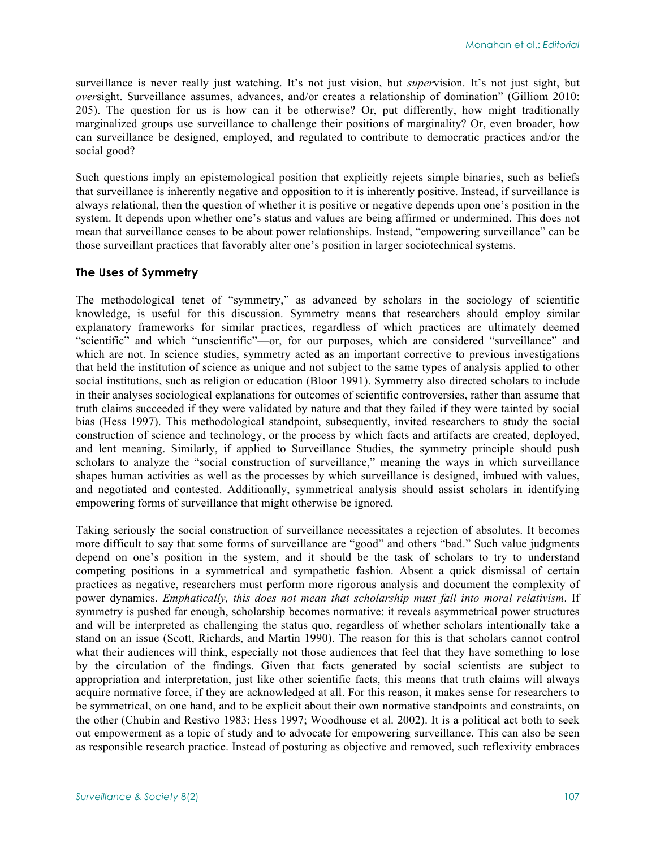surveillance is never really just watching. It's not just vision, but *super*vision. It's not just sight, but *over*sight. Surveillance assumes, advances, and/or creates a relationship of domination" (Gilliom 2010: 205). The question for us is how can it be otherwise? Or, put differently, how might traditionally marginalized groups use surveillance to challenge their positions of marginality? Or, even broader, how can surveillance be designed, employed, and regulated to contribute to democratic practices and/or the social good?

Such questions imply an epistemological position that explicitly rejects simple binaries, such as beliefs that surveillance is inherently negative and opposition to it is inherently positive. Instead, if surveillance is always relational, then the question of whether it is positive or negative depends upon one's position in the system. It depends upon whether one's status and values are being affirmed or undermined. This does not mean that surveillance ceases to be about power relationships. Instead, "empowering surveillance" can be those surveillant practices that favorably alter one's position in larger sociotechnical systems.

### **The Uses of Symmetry**

The methodological tenet of "symmetry," as advanced by scholars in the sociology of scientific knowledge, is useful for this discussion. Symmetry means that researchers should employ similar explanatory frameworks for similar practices, regardless of which practices are ultimately deemed "scientific" and which "unscientific"—or, for our purposes, which are considered "surveillance" and which are not. In science studies, symmetry acted as an important corrective to previous investigations that held the institution of science as unique and not subject to the same types of analysis applied to other social institutions, such as religion or education (Bloor 1991). Symmetry also directed scholars to include in their analyses sociological explanations for outcomes of scientific controversies, rather than assume that truth claims succeeded if they were validated by nature and that they failed if they were tainted by social bias (Hess 1997). This methodological standpoint, subsequently, invited researchers to study the social construction of science and technology, or the process by which facts and artifacts are created, deployed, and lent meaning. Similarly, if applied to Surveillance Studies, the symmetry principle should push scholars to analyze the "social construction of surveillance," meaning the ways in which surveillance shapes human activities as well as the processes by which surveillance is designed, imbued with values, and negotiated and contested. Additionally, symmetrical analysis should assist scholars in identifying empowering forms of surveillance that might otherwise be ignored.

Taking seriously the social construction of surveillance necessitates a rejection of absolutes. It becomes more difficult to say that some forms of surveillance are "good" and others "bad." Such value judgments depend on one's position in the system, and it should be the task of scholars to try to understand competing positions in a symmetrical and sympathetic fashion. Absent a quick dismissal of certain practices as negative, researchers must perform more rigorous analysis and document the complexity of power dynamics. *Emphatically, this does not mean that scholarship must fall into moral relativism*. If symmetry is pushed far enough, scholarship becomes normative: it reveals asymmetrical power structures and will be interpreted as challenging the status quo, regardless of whether scholars intentionally take a stand on an issue (Scott, Richards, and Martin 1990). The reason for this is that scholars cannot control what their audiences will think, especially not those audiences that feel that they have something to lose by the circulation of the findings. Given that facts generated by social scientists are subject to appropriation and interpretation, just like other scientific facts, this means that truth claims will always acquire normative force, if they are acknowledged at all. For this reason, it makes sense for researchers to be symmetrical, on one hand, and to be explicit about their own normative standpoints and constraints, on the other (Chubin and Restivo 1983; Hess 1997; Woodhouse et al. 2002). It is a political act both to seek out empowerment as a topic of study and to advocate for empowering surveillance. This can also be seen as responsible research practice. Instead of posturing as objective and removed, such reflexivity embraces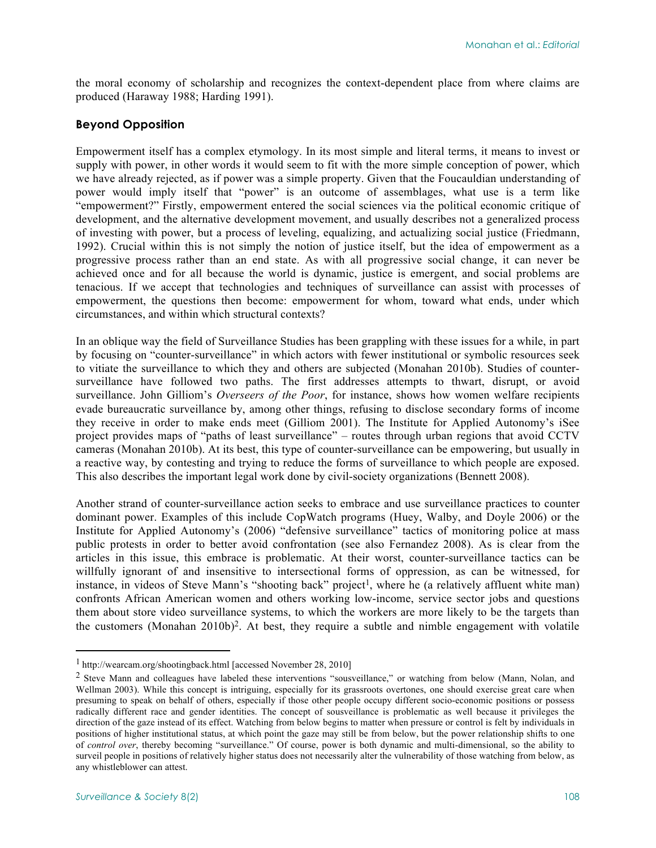the moral economy of scholarship and recognizes the context-dependent place from where claims are produced (Haraway 1988; Harding 1991).

### **Beyond Opposition**

Empowerment itself has a complex etymology. In its most simple and literal terms, it means to invest or supply with power, in other words it would seem to fit with the more simple conception of power, which we have already rejected, as if power was a simple property. Given that the Foucauldian understanding of power would imply itself that "power" is an outcome of assemblages, what use is a term like "empowerment?" Firstly, empowerment entered the social sciences via the political economic critique of development, and the alternative development movement, and usually describes not a generalized process of investing with power, but a process of leveling, equalizing, and actualizing social justice (Friedmann, 1992). Crucial within this is not simply the notion of justice itself, but the idea of empowerment as a progressive process rather than an end state. As with all progressive social change, it can never be achieved once and for all because the world is dynamic, justice is emergent, and social problems are tenacious. If we accept that technologies and techniques of surveillance can assist with processes of empowerment, the questions then become: empowerment for whom, toward what ends, under which circumstances, and within which structural contexts?

In an oblique way the field of Surveillance Studies has been grappling with these issues for a while, in part by focusing on "counter-surveillance" in which actors with fewer institutional or symbolic resources seek to vitiate the surveillance to which they and others are subjected (Monahan 2010b). Studies of countersurveillance have followed two paths. The first addresses attempts to thwart, disrupt, or avoid surveillance. John Gilliom's *Overseers of the Poor*, for instance, shows how women welfare recipients evade bureaucratic surveillance by, among other things, refusing to disclose secondary forms of income they receive in order to make ends meet (Gilliom 2001). The Institute for Applied Autonomy's iSee project provides maps of "paths of least surveillance" – routes through urban regions that avoid CCTV cameras (Monahan 2010b). At its best, this type of counter-surveillance can be empowering, but usually in a reactive way, by contesting and trying to reduce the forms of surveillance to which people are exposed. This also describes the important legal work done by civil-society organizations (Bennett 2008).

Another strand of counter-surveillance action seeks to embrace and use surveillance practices to counter dominant power. Examples of this include CopWatch programs (Huey, Walby, and Doyle 2006) or the Institute for Applied Autonomy's (2006) "defensive surveillance" tactics of monitoring police at mass public protests in order to better avoid confrontation (see also Fernandez 2008). As is clear from the articles in this issue, this embrace is problematic. At their worst, counter-surveillance tactics can be willfully ignorant of and insensitive to intersectional forms of oppression, as can be witnessed, for instance, in videos of Steve Mann's "shooting back" project<sup>1</sup>, where he (a relatively affluent white man) confronts African American women and others working low-income, service sector jobs and questions them about store video surveillance systems, to which the workers are more likely to be the targets than the customers (Monahan 2010b)2. At best, they require a subtle and nimble engagement with volatile

 $\overline{a}$ 

<sup>1</sup> [http://wearcam.org/shootingback.html \[a](http://wearcam.org/shootingback.html)ccessed November 28, 2010]

<sup>&</sup>lt;sup>2</sup> Steve Mann and colleagues have labeled these interventions "sousveillance," or watching from below (Mann, Nolan, and Wellman 2003). While this concept is intriguing, especially for its grassroots overtones, one should exercise great care when presuming to speak on behalf of others, especially if those other people occupy different socio-economic positions or possess radically different race and gender identities. The concept of sousveillance is problematic as well because it privileges the direction of the gaze instead of its effect. Watching from below begins to matter when pressure or control is felt by individuals in positions of higher institutional status, at which point the gaze may still be from below, but the power relationship shifts to one of *control over*, thereby becoming "surveillance." Of course, power is both dynamic and multi-dimensional, so the ability to surveil people in positions of relatively higher status does not necessarily alter the vulnerability of those watching from below, as any whistleblower can attest.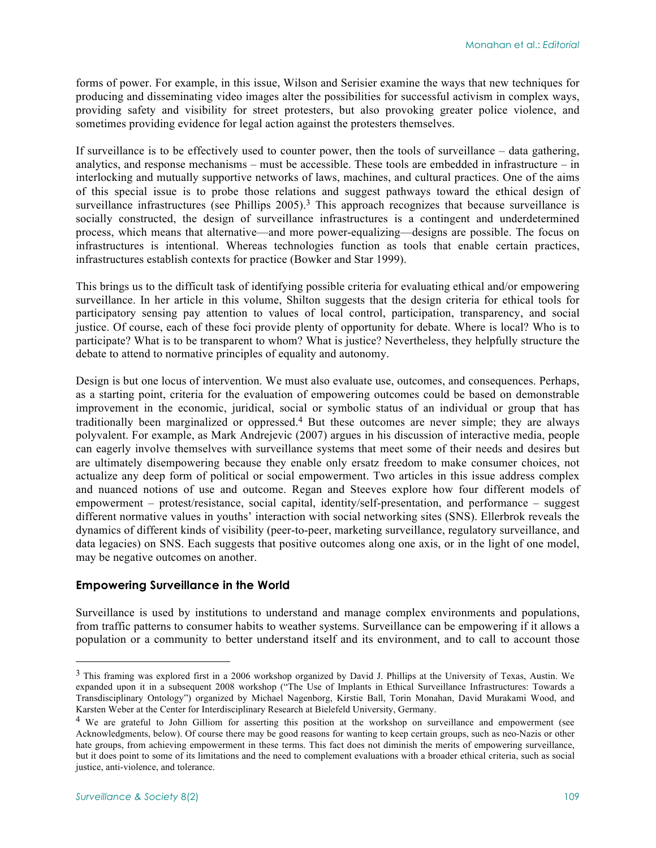forms of power. For example, in this issue, Wilson and Serisier examine the ways that new techniques for producing and disseminating video images alter the possibilities for successful activism in complex ways, providing safety and visibility for street protesters, but also provoking greater police violence, and sometimes providing evidence for legal action against the protesters themselves.

If surveillance is to be effectively used to counter power, then the tools of surveillance – data gathering, analytics, and response mechanisms – must be accessible. These tools are embedded in infrastructure – in interlocking and mutually supportive networks of laws, machines, and cultural practices. One of the aims of this special issue is to probe those relations and suggest pathways toward the ethical design of surveillance infrastructures (see Phillips  $2005$ ).<sup>3</sup> This approach recognizes that because surveillance is socially constructed, the design of surveillance infrastructures is a contingent and underdetermined process, which means that alternative—and more power-equalizing—designs are possible. The focus on infrastructures is intentional. Whereas technologies function as tools that enable certain practices, infrastructures establish contexts for practice (Bowker and Star 1999).

This brings us to the difficult task of identifying possible criteria for evaluating ethical and/or empowering surveillance. In her article in this volume, Shilton suggests that the design criteria for ethical tools for participatory sensing pay attention to values of local control, participation, transparency, and social justice. Of course, each of these foci provide plenty of opportunity for debate. Where is local? Who is to participate? What is to be transparent to whom? What is justice? Nevertheless, they helpfully structure the debate to attend to normative principles of equality and autonomy.

Design is but one locus of intervention. We must also evaluate use, outcomes, and consequences. Perhaps, as a starting point, criteria for the evaluation of empowering outcomes could be based on demonstrable improvement in the economic, juridical, social or symbolic status of an individual or group that has traditionally been marginalized or oppressed. 4 But these outcomes are never simple; they are always polyvalent. For example, as Mark Andrejevic (2007) argues in his discussion of interactive media, people can eagerly involve themselves with surveillance systems that meet some of their needs and desires but are ultimately disempowering because they enable only ersatz freedom to make consumer choices, not actualize any deep form of political or social empowerment. Two articles in this issue address complex and nuanced notions of use and outcome. Regan and Steeves explore how four different models of empowerment – protest/resistance, social capital, identity/self-presentation, and performance – suggest different normative values in youths' interaction with social networking sites (SNS). Ellerbrok reveals the dynamics of different kinds of visibility (peer-to-peer, marketing surveillance, regulatory surveillance, and data legacies) on SNS. Each suggests that positive outcomes along one axis, or in the light of one model, may be negative outcomes on another.

#### **Empowering Surveillance in the World**

Surveillance is used by institutions to understand and manage complex environments and populations, from traffic patterns to consumer habits to weather systems. Surveillance can be empowering if it allows a population or a community to better understand itself and its environment, and to call to account those

-

<sup>&</sup>lt;sup>3</sup> This framing was explored first in a 2006 workshop organized by David J. Phillips at the University of Texas, Austin. We expanded upon it in a subsequent 2008 workshop ("The Use of Implants in Ethical Surveillance Infrastructures: Towards a Transdisciplinary Ontology") organized by Michael Nagenborg, Kirstie Ball, Torin Monahan, David Murakami Wood, and Karsten Weber at the Center for Interdisciplinary Research at Bielefeld University, Germany.

<sup>&</sup>lt;sup>4</sup> We are grateful to John Gilliom for asserting this position at the workshop on surveillance and empowerment (see Acknowledgments, below). Of course there may be good reasons for wanting to keep certain groups, such as neo-Nazis or other hate groups, from achieving empowerment in these terms. This fact does not diminish the merits of empowering surveillance, but it does point to some of its limitations and the need to complement evaluations with a broader ethical criteria, such as social justice, anti-violence, and tolerance.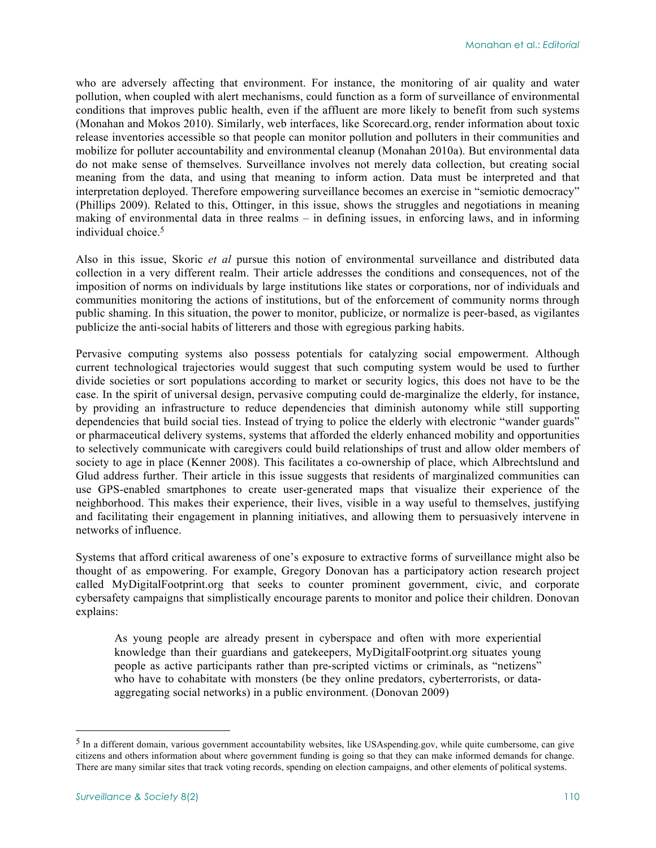who are adversely affecting that environment. For instance, the monitoring of air quality and water pollution, when coupled with alert mechanisms, could function as a form of surveillance of environmental conditions that improves public health, even if the affluent are more likely to benefit from such systems (Monahan and Mokos 2010). Similarly, web interfaces, like Scorecard.org, render information about toxic release inventories accessible so that people can monitor pollution and polluters in their communities and mobilize for polluter accountability and environmental cleanup (Monahan 2010a). But environmental data do not make sense of themselves. Surveillance involves not merely data collection, but creating social meaning from the data, and using that meaning to inform action. Data must be interpreted and that interpretation deployed. Therefore empowering surveillance becomes an exercise in "semiotic democracy" (Phillips 2009). Related to this, Ottinger, in this issue, shows the struggles and negotiations in meaning making of environmental data in three realms – in defining issues, in enforcing laws, and in informing individual choice. 5

Also in this issue, Skoric *et al* pursue this notion of environmental surveillance and distributed data collection in a very different realm. Their article addresses the conditions and consequences, not of the imposition of norms on individuals by large institutions like states or corporations, nor of individuals and communities monitoring the actions of institutions, but of the enforcement of community norms through public shaming. In this situation, the power to monitor, publicize, or normalize is peer-based, as vigilantes publicize the anti-social habits of litterers and those with egregious parking habits.

Pervasive computing systems also possess potentials for catalyzing social empowerment. Although current technological trajectories would suggest that such computing system would be used to further divide societies or sort populations according to market or security logics, this does not have to be the case. In the spirit of universal design, pervasive computing could de-marginalize the elderly, for instance, by providing an infrastructure to reduce dependencies that diminish autonomy while still supporting dependencies that build social ties. Instead of trying to police the elderly with electronic "wander guards" or pharmaceutical delivery systems, systems that afforded the elderly enhanced mobility and opportunities to selectively communicate with caregivers could build relationships of trust and allow older members of society to age in place (Kenner 2008). This facilitates a co-ownership of place, which Albrechtslund and Glud address further. Their article in this issue suggests that residents of marginalized communities can use GPS-enabled smartphones to create user-generated maps that visualize their experience of the neighborhood. This makes their experience, their lives, visible in a way useful to themselves, justifying and facilitating their engagement in planning initiatives, and allowing them to persuasively intervene in networks of influence.

Systems that afford critical awareness of one's exposure to extractive forms of surveillance might also be thought of as empowering. For example, Gregory Donovan has a participatory action research project called MyDigitalFootprint.org that seeks to counter prominent government, civic, and corporate cybersafety campaigns that simplistically encourage parents to monitor and police their children. Donovan explains:

As young people are already present in cyberspace and often with more experiential knowledge than their guardians and gatekeepers, MyDigitalFootprint.org situates young people as active participants rather than pre-scripted victims or criminals, as "netizens" who have to cohabitate with monsters (be they online predators, cyberterrorists, or dataaggregating social networks) in a public environment. (Donovan 2009)

 $<sup>5</sup>$  In a different domain, various government accountability websites, like USAspending.gov, while quite cumbersome, can give</sup> citizens and others information about where government funding is going so that they can make informed demands for change. There are many similar sites that track voting records, spending on election campaigns, and other elements of political systems.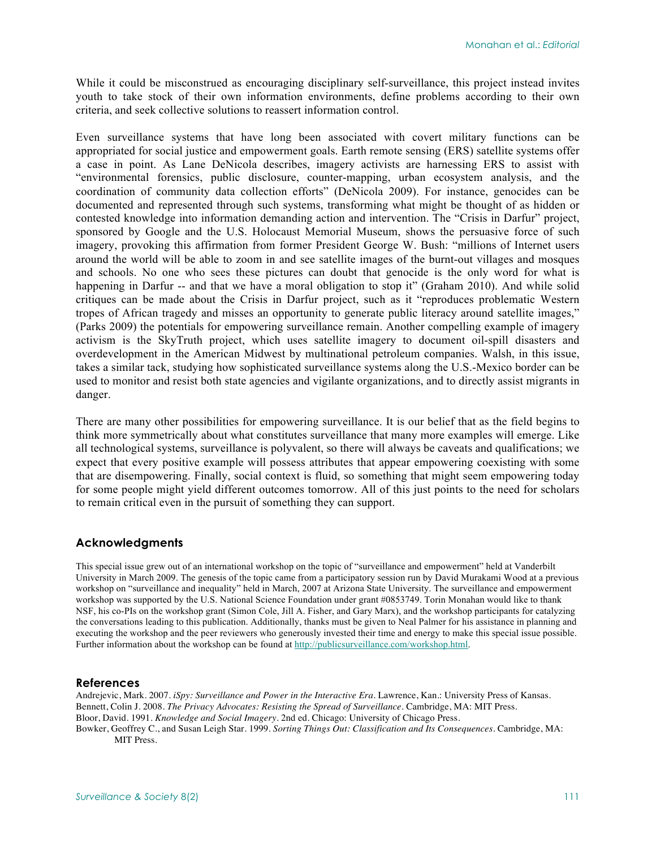While it could be misconstrued as encouraging disciplinary self-surveillance, this project instead invites youth to take stock of their own information environments, define problems according to their own criteria, and seek collective solutions to reassert information control.

Even surveillance systems that have long been associated with covert military functions can be appropriated for social justice and empowerment goals. Earth remote sensing (ERS) satellite systems offer a case in point. As Lane DeNicola describes, imagery activists are harnessing ERS to assist with "environmental forensics, public disclosure, counter-mapping, urban ecosystem analysis, and the coordination of community data collection efforts" (DeNicola 2009). For instance, genocides can be documented and represented through such systems, transforming what might be thought of as hidden or contested knowledge into information demanding action and intervention. The "Crisis in Darfur" project, sponsored by Google and the U.S. Holocaust Memorial Museum, shows the persuasive force of such imagery, provoking this affirmation from former President George W. Bush: "millions of Internet users around the world will be able to zoom in and see satellite images of the burnt-out villages and mosques and schools. No one who sees these pictures can doubt that genocide is the only word for what is happening in Darfur -- and that we have a moral obligation to stop it" (Graham 2010). And while solid critiques can be made about the Crisis in Darfur project, such as it "reproduces problematic Western tropes of African tragedy and misses an opportunity to generate public literacy around satellite images," (Parks 2009) the potentials for empowering surveillance remain. Another compelling example of imagery activism is the SkyTruth project, which uses satellite imagery to document oil-spill disasters and overdevelopment in the American Midwest by multinational petroleum companies. Walsh, in this issue, takes a similar tack, studying how sophisticated surveillance systems along the U.S.-Mexico border can be used to monitor and resist both state agencies and vigilante organizations, and to directly assist migrants in danger.

There are many other possibilities for empowering surveillance. It is our belief that as the field begins to think more symmetrically about what constitutes surveillance that many more examples will emerge. Like all technological systems, surveillance is polyvalent, so there will always be caveats and qualifications; we expect that every positive example will possess attributes that appear empowering coexisting with some that are disempowering. Finally, social context is fluid, so something that might seem empowering today for some people might yield different outcomes tomorrow. All of this just points to the need for scholars to remain critical even in the pursuit of something they can support.

#### **Acknowledgments**

This special issue grew out of an international workshop on the topic of "surveillance and empowerment" held at Vanderbilt University in March 2009. The genesis of the topic came from a participatory session run by David Murakami Wood at a previous workshop on "surveillance and inequality" held in March, 2007 at Arizona State University. The surveillance and empowerment workshop was supported by the U.S. National Science Foundation under grant #0853749. Torin Monahan would like to thank NSF, his co-PIs on the workshop grant (Simon Cole, Jill A. Fisher, and Gary Marx), and the workshop participants for catalyzing the conversations leading to this publication. Additionally, thanks must be given to Neal Palmer for his assistance in planning and executing the workshop and the peer reviewers who generously invested their time and energy to make this special issue possible. Further information about the workshop can be found at [http://publicsurveillance.com/workshop.html.](http://publicsurveillance.com/workshop.html)

#### **References**

Andrejevic, Mark. 2007. *iSpy: Surveillance and Power in the Interactive Era*. Lawrence, Kan.: University Press of Kansas. Bennett, Colin J. 2008. *The Privacy Advocates: Resisting the Spread of Surveillance*. Cambridge, MA: MIT Press. Bloor, David. 1991. *Knowledge and Social Imagery*. 2nd ed. Chicago: University of Chicago Press. Bowker, Geoffrey C., and Susan Leigh Star. 1999. *Sorting Things Out: Classification and Its Consequences*. Cambridge, MA: MIT Press.